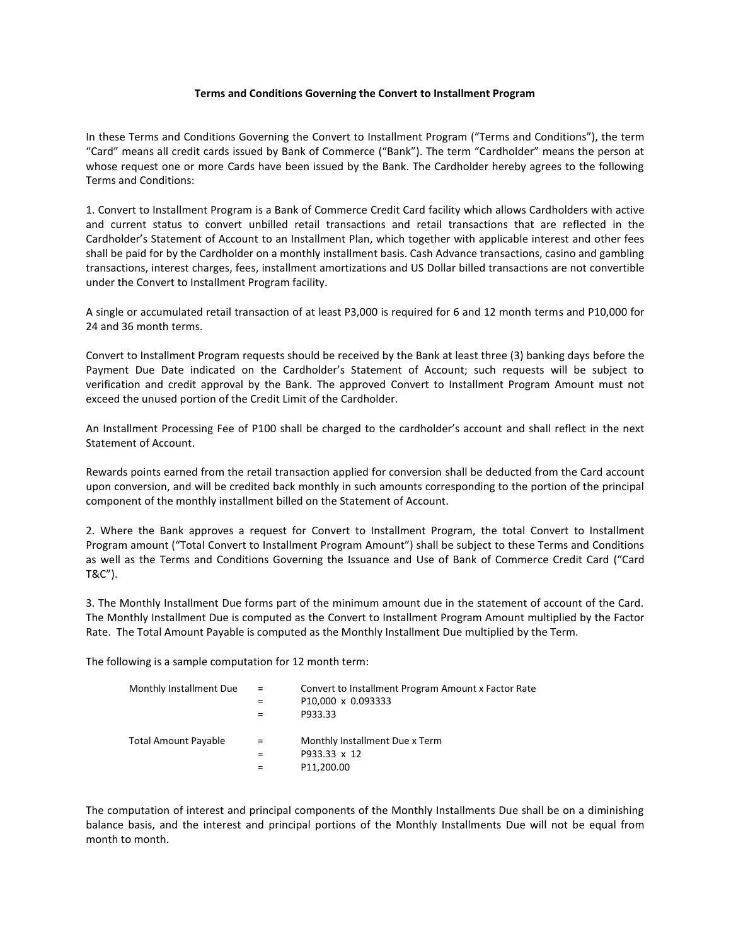## **Terms and Conditions Governing the Convert to Installment Program**

In these Terms and Conditions Governing the Convert to Installment Program ("Terms and Conditions"), the term "Card" means all credit cards issued by Bank of Commerce ("Bank"). The term "Cardholder" means the person at whose request one or more Cards have been issued by the Bank. The Cardholder hereby agrees to the following Terms and Conditions:

1. Convert to Installment Program is a Bank of Commerce Credit Card facility which allows Cardholders with active and current status to convert unbilled retail transactions and retail transactions that are reflected in the Cardholder's Statement of Account to an Installment Plan, which together with applicable interest and other fees shall be paid for by the Cardholder on a monthly installment basis. Cash Advance transactions, casino and gambling transactions, interest charges, fees, installment amortizations and US Dollar billed transactions are not convertible under the Convert to Installment Program facility.

A single or accumulated retail transaction of at least P3,000 is required for 6 and 12 month terms and P10,000 for 24 and 36 month terms.

Convert to Installment Program requests should be received by the Bank at least three (3) banking days before the Payment Due Date indicated on the Cardholder's Statement of Account; such requests will be subject to verification and credit approval by the Bank. The approved Convert to Installment Program Amount must not exceed the unused portion of the Credit Limit of the Cardholder.

An Installment Processing Fee of P100 shall be charged to the cardholder's account and shall reflect in the next Statement of Account.

Rewards points earned from the retail transaction applied for conversion shall be deducted from the Card account upon conversion, and will be credited back monthly in such amounts corresponding to the portion of the principal component of the monthly installment billed on the Statement of Account.

2. Where the Bank approves a request for Convert to Installment Program, the total Convert to Installment Program amount ("Total Convert to Installment Program Amount") shall be subject to these Terms and Conditions as well as the Terms and Conditions Governing the Issuance and Use of Bank of Commerce Credit Card ("Card T&C").

3. The Monthly Installment Due forms part of the minimum amount due in the statement of account of the Card. The Monthly Installment Due is computed as the Convert to Installment Program Amount multiplied by the Factor Rate. The Total Amount Payable is computed as the Monthly Installment Due multiplied by the Term.

The following is a sample computation for 12 month term:

| Monthly Installment Due     | $\mathbf{r} = \mathbf{r}$<br>$=$ | Convert to Installment Program Amount x Factor Rate<br>P10,000 x 0.093333<br>P933.33 |
|-----------------------------|----------------------------------|--------------------------------------------------------------------------------------|
| <b>Total Amount Payable</b> | $\equiv$                         | Monthly Installment Due x Term<br>P933.33 x 12<br>P11,200.00                         |

The computation of interest and principal components of the Monthly Installments Due shall be on a diminishing balance basis, and the interest and principal portions of the Monthly Installments Due will not be equal from month to month.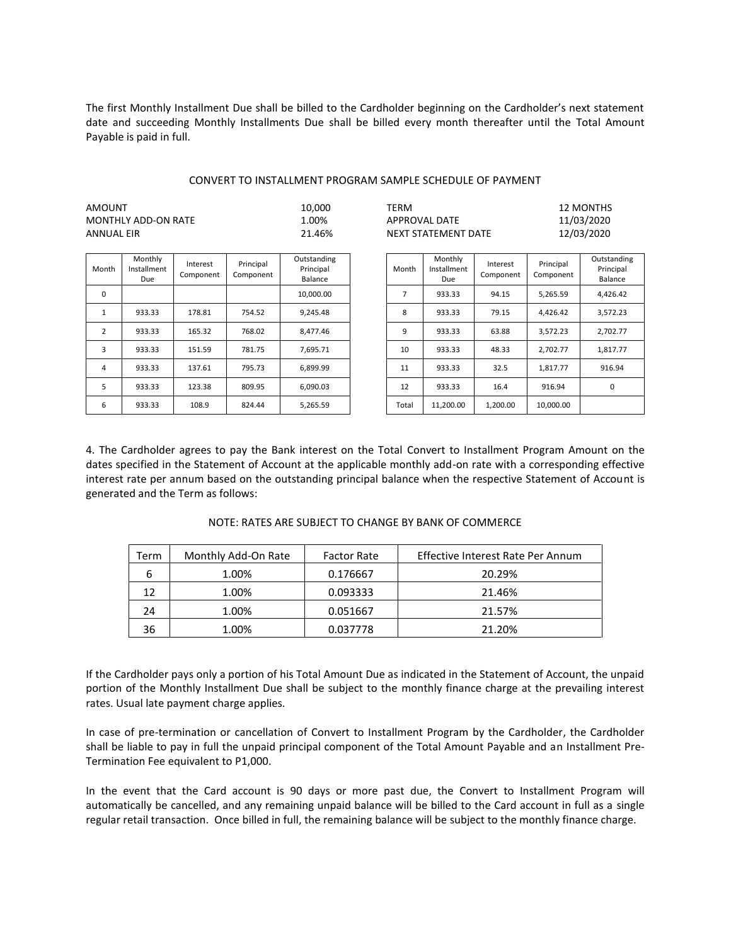The first Monthly Installment Due shall be billed to the Cardholder beginning on the Cardholder's next statement date and succeeding Monthly Installments Due shall be billed every month thereafter until the Total Amount Payable is paid in full.

## CONVERT TO INSTALLMENT PROGRAM SAMPLE SCHEDULE OF PAYMENT

| AMOUNT              | 10.000 | TERM                | 12 MONTHS  |
|---------------------|--------|---------------------|------------|
| MONTHLY ADD-ON RATE | 00% ـ  | APPROVAL DATE       | 11/03/2020 |
| ANNUAL EIR          | 21.46% | NEXT STATEMENT DATE | 12/03/2020 |

 $\sim$  APPROVAL DATE 11/03/2020 % NEXT STATEMENT DATE 12/03/2020

| Month | Monthly<br>Installment<br>Due | Interest<br>Component | Principal<br>Component | Outstanding<br>Principal<br>Balance | Month | Monthly<br>Installment<br>Due | Interest<br>Component | Principal<br>Component | Outstandi<br>Principal<br>Balance |
|-------|-------------------------------|-----------------------|------------------------|-------------------------------------|-------|-------------------------------|-----------------------|------------------------|-----------------------------------|
| 0     |                               |                       |                        | 10.000.00                           |       | 933.33                        | 94.15                 | 5.265.59               | 4.426.42                          |
| 1     | 933.33                        | 178.81                | 754.52                 | 9,245.48                            | 8     | 933.33                        | 79.15                 | 4,426.42               | 3,572.23                          |
| 2     | 933.33                        | 165.32                | 768.02                 | 8,477.46                            | 9     | 933.33                        | 63.88                 | 3,572.23               | 2,702.77                          |
| 3     | 933.33                        | 151.59                | 781.75                 | 7,695.71                            | 10    | 933.33                        | 48.33                 | 2,702.77               | 1.817.77                          |
| 4     | 933.33                        | 137.61                | 795.73                 | 6.899.99                            | 11    | 933.33                        | 32.5                  | 1.817.77               | 916.94                            |
| 5     | 933.33                        | 123.38                | 809.95                 | 6,090.03                            | 12    | 933.33                        | 16.4                  | 916.94                 | 0                                 |
| 6     | 933.33                        | 108.9                 | 824.44                 | 5,265.59                            | Total | 11.200.00                     | 1.200.00              | 10.000.00              |                                   |

| Month | Monthly<br>Installment<br>Due | Interest<br>Component | Principal<br>Component | Outstanding<br>Principal<br>Balance |
|-------|-------------------------------|-----------------------|------------------------|-------------------------------------|
| 7     | 933.33                        | 94.15                 | 5.265.59               | 4.426.42                            |
| 8     | 933.33                        | 79.15                 | 4.426.42               | 3.572.23                            |
| 9     | 933.33                        | 63.88                 | 3,572.23               | 2,702.77                            |
| 10    | 933.33                        | 48.33                 | 2.702.77               | 1.817.77                            |
| 11    | 933.33                        | 32.5                  | 1.817.77               | 916.94                              |
| 12    | 933.33                        | 16.4                  | 916.94                 | O                                   |
| Total | 11.200.00                     | 1,200.00              | 10,000.00              |                                     |

4. The Cardholder agrees to pay the Bank interest on the Total Convert to Installment Program Amount on the dates specified in the Statement of Account at the applicable monthly add-on rate with a corresponding effective interest rate per annum based on the outstanding principal balance when the respective Statement of Account is generated and the Term as follows:

| Term | Monthly Add-On Rate | <b>Factor Rate</b> | Effective Interest Rate Per Annum |
|------|---------------------|--------------------|-----------------------------------|
| 6    | 1.00%               | 0.176667           | 20.29%                            |
| 12   | 1.00%               | 0.093333           | 21.46%                            |
| 24   | 1.00%               | 0.051667           | 21.57%                            |
| 36   | 1.00%               | 0.037778           | 21.20%                            |

## NOTE: RATES ARE SUBJECT TO CHANGE BY BANK OF COMMERCE

If the Cardholder pays only a portion of his Total Amount Due as indicated in the Statement of Account, the unpaid portion of the Monthly Installment Due shall be subject to the monthly finance charge at the prevailing interest rates. Usual late payment charge applies.

In case of pre-termination or cancellation of Convert to Installment Program by the Cardholder, the Cardholder shall be liable to pay in full the unpaid principal component of the Total Amount Payable and an Installment Pre-Termination Fee equivalent to P1,000.

In the event that the Card account is 90 days or more past due, the Convert to Installment Program will automatically be cancelled, and any remaining unpaid balance will be billed to the Card account in full as a single regular retail transaction. Once billed in full, the remaining balance will be subject to the monthly finance charge.